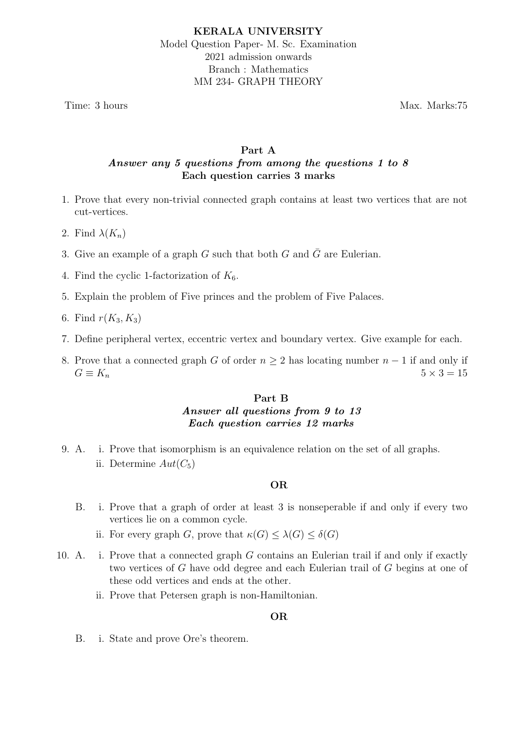Time: 3 hours Max. Marks:75

# Part A Answer any 5 questions from among the questions 1 to 8 Each question carries 3 marks

- 1. Prove that every non-trivial connected graph contains at least two vertices that are not cut-vertices.
- 2. Find  $\lambda(K_n)$
- 3. Give an example of a graph G such that both G and  $\overline{G}$  are Eulerian.
- 4. Find the cyclic 1-factorization of  $K_6$ .
- 5. Explain the problem of Five princes and the problem of Five Palaces.
- 6. Find  $r(K_3, K_3)$
- 7. Define peripheral vertex, eccentric vertex and boundary vertex. Give example for each.
- 8. Prove that a connected graph G of order  $n \geq 2$  has locating number  $n-1$  if and only if  $G \equiv K_n$  5 × 3 = 15

# Part B Answer all questions from 9 to 13 Each question carries 12 marks

9. A. i. Prove that isomorphism is an equivalence relation on the set of all graphs. ii. Determine  $Aut(C_5)$ 

### OR

- B. i. Prove that a graph of order at least 3 is nonseperable if and only if every two vertices lie on a common cycle.
	- ii. For every graph G, prove that  $\kappa(G) \leq \lambda(G) \leq \delta(G)$
- 10. A. i. Prove that a connected graph G contains an Eulerian trail if and only if exactly two vertices of G have odd degree and each Eulerian trail of G begins at one of these odd vertices and ends at the other.
	- ii. Prove that Petersen graph is non-Hamiltonian.

### OR

B. i. State and prove Ore's theorem.